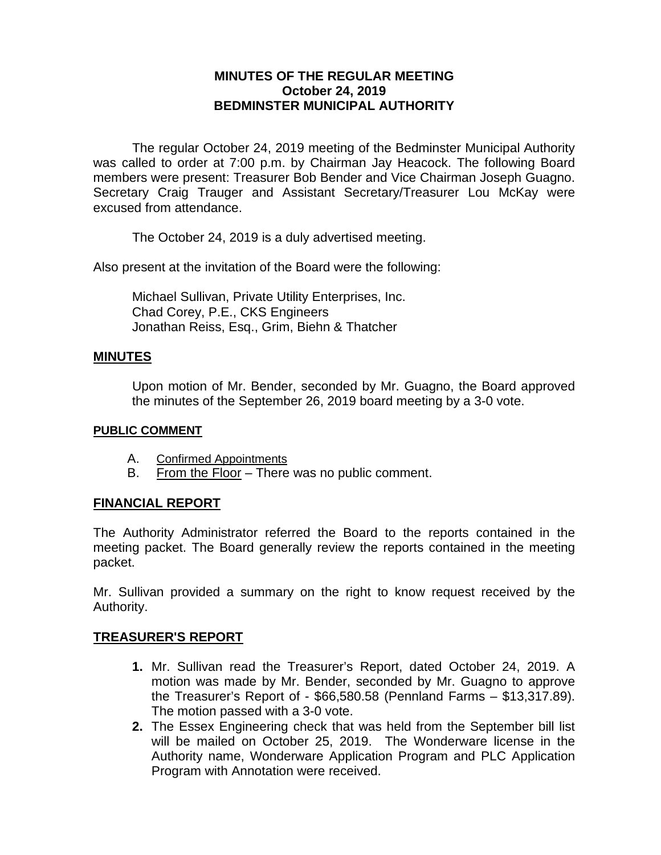## **MINUTES OF THE REGULAR MEETING October 24, 2019 BEDMINSTER MUNICIPAL AUTHORITY**

The regular October 24, 2019 meeting of the Bedminster Municipal Authority was called to order at 7:00 p.m. by Chairman Jay Heacock. The following Board members were present: Treasurer Bob Bender and Vice Chairman Joseph Guagno. Secretary Craig Trauger and Assistant Secretary/Treasurer Lou McKay were excused from attendance.

The October 24, 2019 is a duly advertised meeting.

Also present at the invitation of the Board were the following:

Michael Sullivan, Private Utility Enterprises, Inc. Chad Corey, P.E., CKS Engineers Jonathan Reiss, Esq., Grim, Biehn & Thatcher

#### **MINUTES**

Upon motion of Mr. Bender, seconded by Mr. Guagno, the Board approved the minutes of the September 26, 2019 board meeting by a 3-0 vote.

#### **PUBLIC COMMENT**

- A. Confirmed Appointments
- B. From the Floor There was no public comment.

## **FINANCIAL REPORT**

The Authority Administrator referred the Board to the reports contained in the meeting packet. The Board generally review the reports contained in the meeting packet.

Mr. Sullivan provided a summary on the right to know request received by the Authority.

#### **TREASURER'S REPORT**

- **1.** Mr. Sullivan read the Treasurer's Report, dated October 24, 2019. A motion was made by Mr. Bender, seconded by Mr. Guagno to approve the Treasurer's Report of - \$66,580.58 (Pennland Farms – \$13,317.89). The motion passed with a 3-0 vote.
- **2.** The Essex Engineering check that was held from the September bill list will be mailed on October 25, 2019. The Wonderware license in the Authority name, Wonderware Application Program and PLC Application Program with Annotation were received.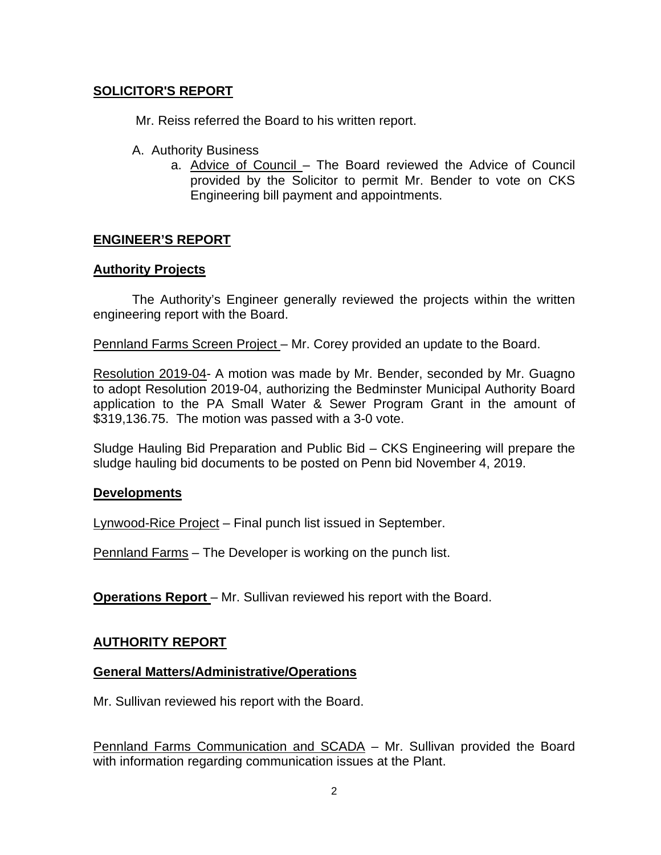# **SOLICITOR'S REPORT**

Mr. Reiss referred the Board to his written report.

- A. Authority Business
	- a. Advice of Council The Board reviewed the Advice of Council provided by the Solicitor to permit Mr. Bender to vote on CKS Engineering bill payment and appointments.

## **ENGINEER'S REPORT**

#### **Authority Projects**

The Authority's Engineer generally reviewed the projects within the written engineering report with the Board.

Pennland Farms Screen Project – Mr. Corey provided an update to the Board.

Resolution 2019-04- A motion was made by Mr. Bender, seconded by Mr. Guagno to adopt Resolution 2019-04, authorizing the Bedminster Municipal Authority Board application to the PA Small Water & Sewer Program Grant in the amount of \$319,136.75. The motion was passed with a 3-0 vote.

Sludge Hauling Bid Preparation and Public Bid – CKS Engineering will prepare the sludge hauling bid documents to be posted on Penn bid November 4, 2019.

## **Developments**

Lynwood-Rice Project – Final punch list issued in September.

Pennland Farms – The Developer is working on the punch list.

**Operations Report** – Mr. Sullivan reviewed his report with the Board.

## **AUTHORITY REPORT**

#### **General Matters/Administrative/Operations**

Mr. Sullivan reviewed his report with the Board.

Pennland Farms Communication and SCADA – Mr. Sullivan provided the Board with information regarding communication issues at the Plant.